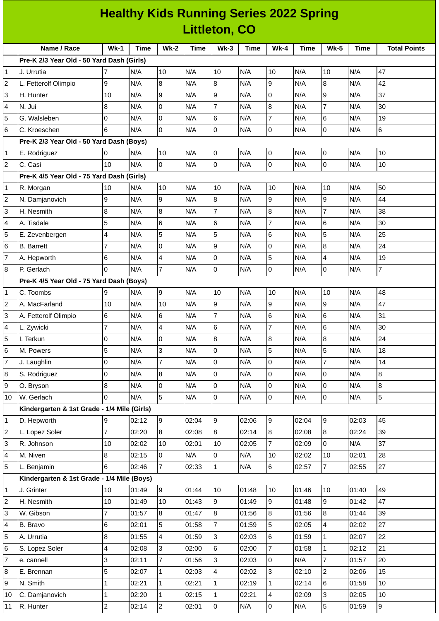## **Healthy Kids Running Series 2022 Spring Littleton, CO**

|                         | Name / Race                                           | $Wk-1$         | <b>Time</b> | <b>Wk-2</b>    | <b>Time</b> | $Wk-3$         | Time  | $Wk-4$         | <b>Time</b> | <b>Wk-5</b>              | <b>Time</b> | <b>Total Points</b> |
|-------------------------|-------------------------------------------------------|----------------|-------------|----------------|-------------|----------------|-------|----------------|-------------|--------------------------|-------------|---------------------|
|                         | Pre-K 2/3 Year Old - 50 Yard Dash (Girls)             |                |             |                |             |                |       |                |             |                          |             |                     |
| 1                       | J. Urrutia                                            | $\overline{7}$ | N/A         | 10             | N/A         | 10             | N/A   | 10             | N/A         | 10                       | N/A         | 47                  |
| $\overline{c}$          | L. Fetterolf Olimpio                                  | 9              | N/A         | 8              | N/A         | 8              | N/A   | 9              | N/A         | 8                        | N/A         | 42                  |
| 3                       | H. Hunter                                             | 10             | N/A         | 9              | N/A         | 9              | N/A   | 0              | N/A         | 9                        | N/A         | 37                  |
| 4                       | N. Jui                                                | 8              | N/A         | $\overline{0}$ | N/A         | $\overline{7}$ | N/A   | 8              | N/A         | $\overline{7}$           | N/A         | 30                  |
| 5                       | G. Walsleben                                          | 0              | N/A         | $\pmb{0}$      | N/A         | 6              | N/A   | $\overline{7}$ | N/A         | 6                        | N/A         | 19                  |
| 6                       | C. Kroeschen                                          | 6              | N/A         | $\overline{0}$ | N/A         | lo             | N/A   | 0              | N/A         | lo                       | N/A         | $6\phantom{.}6$     |
|                         | Pre-K 2/3 Year Old - 50 Yard Dash (Boys)<br>N/A<br>10 |                |             |                |             |                |       |                |             |                          |             |                     |
| 1                       | E. Rodriguez                                          | 0              | N/A         | 10             | N/A         | O              | N/A   | 0              |             | O                        | N/A         |                     |
| $\overline{c}$          | C. Casi                                               | 10             | N/A         | $\overline{0}$ | N/A         | l0             | N/A   | 0              | N/A         | $\overline{0}$           | N/A         | 10                  |
|                         | Pre-K 4/5 Year Old - 75 Yard Dash (Girls)             |                |             |                |             |                |       |                |             |                          |             |                     |
| 1                       | R. Morgan                                             | 10             | N/A         | 10             | N/A         | 10             | N/A   | 10             | N/A         | 10                       | N/A         | 50                  |
| $\overline{\mathbf{c}}$ | N. Damjanovich                                        | 9              | N/A         | 9              | N/A         | 8              | N/A   | 9              | N/A         | g                        | N/A         | 44                  |
| 3                       | H. Nesmith                                            | 8              | N/A         | 8              | N/A         | $\overline{7}$ | N/A   | 8              | N/A         | $\overline{7}$           | N/A         | 38                  |
| 4                       | A. Tisdale                                            | 5              | N/A         | 6              | N/A         | 6              | N/A   | $\overline{7}$ | N/A         | $\,6$                    | N/A         | 30                  |
| 5                       | E. Zevenbergen                                        | 4              | N/A         | 5              | N/A         | 5              | N/A   | 6              | N/A         | 5                        | N/A         | 25                  |
| 6                       | <b>B.</b> Barrett                                     | 7              | N/A         | 0              | N/A         | 9              | N/A   | 0              | N/A         | $\, 8$                   | N/A         | 24                  |
| 7                       | A. Hepworth                                           | 6              | N/A         | 4              | N/A         | O              | N/A   | 5              | N/A         | $\overline{\mathcal{L}}$ | N/A         | 19                  |
| 8                       | P. Gerlach                                            | $\Omega$       | N/A         | $\overline{7}$ | N/A         | l0             | N/A   | 0              | N/A         | l0                       | N/A         | $\overline{7}$      |
|                         | Pre-K 4/5 Year Old - 75 Yard Dash (Boys)              |                |             |                |             |                |       |                |             |                          |             |                     |
| 1                       | C. Toombs                                             | 9              | N/A         | 9              | N/A         | 10             | N/A   | 10             | N/A         | 10                       | N/A         | 48                  |
| 2                       | A. MacFarland                                         | 10             | N/A         | 10             | N/A         | 9              | N/A   | 9              | N/A         | 9                        | N/A         | 47                  |
| 3                       | A. Fetterolf Olimpio                                  | 6              | N/A         | 6              | N/A         | $\overline{7}$ | N/A   | 6              | N/A         | $\,6$                    | N/A         | 31                  |
| 4                       | L. Zywicki                                            | 7              | N/A         | 4              | N/A         | 6              | N/A   | $\overline{7}$ | N/A         | $6\phantom{.}6$          | N/A         | 30                  |
| 5                       | I. Terkun                                             | 0              | N/A         | 0              | N/A         | 8              | N/A   | 8              | N/A         | $\, 8$                   | N/A         | 24                  |
| 6                       | M. Powers                                             | 5              | N/A         | 3              | N/A         | O              | N/A   | 5              | N/A         | 5                        | N/A         | 18                  |
| $\overline{7}$          | J. Laughlin                                           | 0              | N/A         | 7              | N/A         | O              | N/A   | 0              | N/A         | $\overline{7}$           | N/A         | 14                  |
| 8                       | S. Rodriguez                                          | $\mathsf 0$    | N/A         | 8              | N/A         | 0              | N/A   | 0              | N/A         | 0                        | N/A         | 8                   |
| 9                       | O. Bryson                                             | 8              | N/A         | $\mathsf 0$    | N/A         | lo             | N/A   | 0              | N/A         | lo                       | N/A         | 8                   |
| 10                      | W. Gerlach                                            | 0              | N/A         | 5              | N/A         | lo.            | N/A   | 0              | N/A         | 0                        | N/A         | 5                   |
|                         | Kindergarten & 1st Grade - 1/4 Mile (Girls)           |                |             |                |             |                |       |                |             |                          |             |                     |
| 1                       | D. Hepworth                                           | 9              | 02:12       | 9              | 02:04       | 9              | 02:06 | 9              | 02:04       | 9                        | 02:03       | 45                  |
| 2                       | L. Lopez Soler                                        | $\overline{7}$ | 02:20       | 8              | 02:08       | 8              | 02:14 | 8              | 02:08       | 8                        | 02:24       | 39                  |
| 3                       | R. Johnson                                            | 10             | 02:02       | 10             | 02:01       | 10             | 02:05 | $\overline{7}$ | 02:09       | $\overline{0}$           | N/A         | 37                  |
| 4                       | M. Niven                                              | 8              | 02:15       | $\overline{0}$ | N/A         | lo.            | N/A   | $10\,$         | 02:02       | 10                       | 02:01       | 28                  |
| 5                       | L. Benjamin                                           | 6              | 02:46       | $\overline{7}$ | 02:33       | 1              | N/A   | 6              | 02:57       | $\overline{7}$           | 02:55       | 27                  |
|                         | Kindergarten & 1st Grade - 1/4 Mile (Boys)            |                |             |                |             |                |       |                |             |                          |             |                     |
| 1                       | J. Grinter                                            | 10             | 01:49       | 9              | 01:44       | 10             | 01:48 | 10             | 01:46       | 10                       | 01:40       | 49                  |
| $\overline{c}$          | H. Nesmith                                            | 10             | 01:49       | 10             | 01:43       | 9              | 01:49 | 9              | 01:48       | 9                        | 01:42       | 47                  |
| 3                       | W. Gibson                                             | $\overline{7}$ | 01:57       | 8              | 01:47       | $\overline{8}$ | 01:56 | 8              | 01:56       | 8                        | 01:44       | 39                  |
| 4                       | B. Bravo                                              | $\,$ 6         | 02:01       | 5              | 01:58       | 7              | 01:59 | 5              | 02:05       | $\overline{4}$           | 02:02       | 27                  |
| 5                       | A. Urrutia                                            | 8              | 01:55       | 4              | 01:59       | l3             | 02:03 | 6              | 01:59       | $\mathbf{1}$             | 02:07       | 22                  |
| 6                       | S. Lopez Soler                                        | 4              | 02:08       | 3              | 02:00       | 6              | 02:00 | $\overline{7}$ | 01:58       | $\mathbf{1}$             | 02:12       | 21                  |
| 7                       | e. cannell                                            | 3              | 02:11       | $\overline{7}$ | 01:56       | Iз             | 02:03 | 0              | N/A         | $\overline{7}$           | 01:57       | 20                  |
| 8                       | E. Brennan                                            | 5              | 02:07       | $\mathbf{1}$   | 02:03       | $\overline{4}$ | 02:02 | 3              | 02:10       | 2                        | 02:06       | 15                  |
| 9                       | N. Smith                                              | 1              | 02:21       | $\mathbf{1}$   | 02:21       | 1              | 02:19 | $\mathbf 1$    | 02:14       | 6                        | 01:58       | 10                  |
| 10                      | C. Damjanovich                                        | 1              | 02:20       | $\mathbf{1}$   | 02:15       | 1              | 02:21 | 4              | 02:09       | 3                        | 02:05       | 10                  |
| 11                      | R. Hunter                                             | $\overline{c}$ | 02:14       | $\overline{c}$ | 02:01       | <b>O</b>       | N/A   | 0              | N/A         | 5                        | 01:59       | 9                   |
|                         |                                                       |                |             |                |             |                |       |                |             |                          |             |                     |